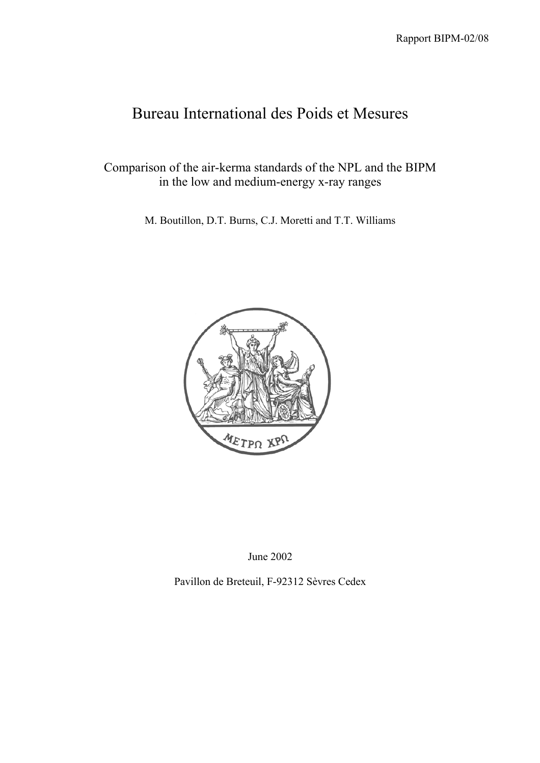# Bureau International des Poids et Mesures

Comparison of the air-kerma standards of the NPL and the BIPM in the low and medium-energy x-ray ranges

M. Boutillon, D.T. Burns, C.J. Moretti and T.T. Williams



June 2002

Pavillon de Breteuil, F-92312 Sèvres Cedex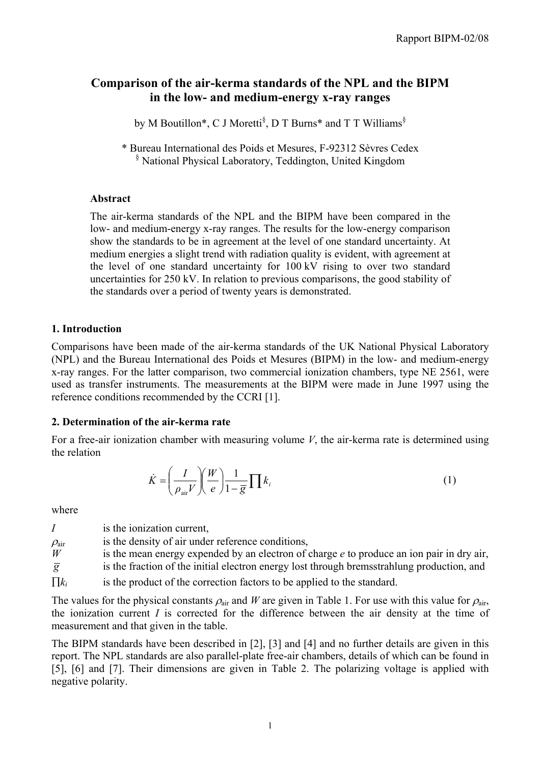## **Comparison of the air-kerma standards of the NPL and the BIPM in the low- and medium-energy x-ray ranges**

by M Boutillon\*, C J Moretti<sup>§</sup>, D T Burns\* and T T Williams<sup>§</sup>

\* Bureau International des Poids et Mesures, F-92312 Sèvres Cedex § National Physical Laboratory, Teddington, United Kingdom

### **Abstract**

The air-kerma standards of the NPL and the BIPM have been compared in the low- and medium-energy x-ray ranges. The results for the low-energy comparison show the standards to be in agreement at the level of one standard uncertainty. At medium energies a slight trend with radiation quality is evident, with agreement at the level of one standard uncertainty for 100 kV rising to over two standard uncertainties for 250 kV. In relation to previous comparisons, the good stability of the standards over a period of twenty years is demonstrated.

## **1. Introduction**

Comparisons have been made of the air-kerma standards of the UK National Physical Laboratory (NPL) and the Bureau International des Poids et Mesures (BIPM) in the low- and medium-energy x-ray ranges. For the latter comparison, two commercial ionization chambers, type NE 2561, were used as transfer instruments. The measurements at the BIPM were made in June 1997 using the reference conditions recommended by the CCRI [1].

## **2. Determination of the air-kerma rate**

For a free-air ionization chamber with measuring volume *V*, the air-kerma rate is determined using the relation

$$
\dot{K} = \left(\frac{I}{\rho_{\text{air}} V}\right) \left(\frac{W}{e}\right) \frac{1}{1 - \overline{g}} \prod k_i
$$
\n(1)

where

|                     | is the ionization current.                                                                  |
|---------------------|---------------------------------------------------------------------------------------------|
| $\rho_{\text{air}}$ | is the density of air under reference conditions,                                           |
| W                   | is the mean energy expended by an electron of charge $e$ to produce an ion pair in dry air, |
| $\overline{g}$      | is the fraction of the initial electron energy lost through bremsstrahlung production, and  |
| $\prod k_i$         | is the product of the correction factors to be applied to the standard.                     |

The values for the physical constants  $\rho_{\text{air}}$  and *W* are given in Table 1. For use with this value for  $\rho_{\text{air}}$ , the ionization current *I* is corrected for the difference between the air density at the time of measurement and that given in the table.

The BIPM standards have been described in [2], [3] and [4] and no further details are given in this report. The NPL standards are also parallel-plate free-air chambers, details of which can be found in [5], [6] and [7]. Their dimensions are given in Table 2. The polarizing voltage is applied with negative polarity.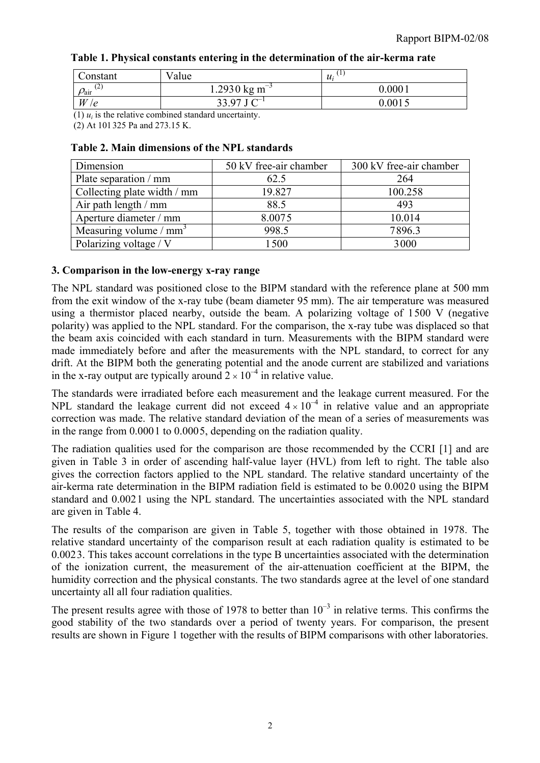|  |  |  |  |  |  |  | Table 1. Physical constants entering in the determination of the air-kerma rate |
|--|--|--|--|--|--|--|---------------------------------------------------------------------------------|
|--|--|--|--|--|--|--|---------------------------------------------------------------------------------|

| Constant                   | Value                                                                                          | <b>U</b><br>$\mathcal{U}_i$ |
|----------------------------|------------------------------------------------------------------------------------------------|-----------------------------|
| (2)<br>$\rho_{\text{air}}$ | $1.2930$ kg m <sup>-3</sup>                                                                    | 0.0001                      |
| W<br>le.                   | $r \sim 1$<br>33 97 L                                                                          | 0.001                       |
|                            | $\sim$ (1) and the distribution of the contribution of the distribution of the state of $\sim$ |                             |

(1)  $u_i$  is the relative combined standard uncertainty.

(2) At 101 325 Pa and 273.15 K.

#### **Table 2. Main dimensions of the NPL standards**

| Dimension                   | 50 kV free-air chamber | 300 kV free-air chamber |
|-----------------------------|------------------------|-------------------------|
| Plate separation / mm       | 62.5                   | 264                     |
| Collecting plate width / mm | 19.827                 | 100.258                 |
| Air path length $/$ mm      | 88.5                   | 493                     |
| Aperture diameter / mm      | 8.0075                 | 10.014                  |
| Measuring volume / $mm3$    | 998.5                  | 7896.3                  |
| Polarizing voltage / V      | 1500                   | 3000                    |

#### **3. Comparison in the low-energy x-ray range**

The NPL standard was positioned close to the BIPM standard with the reference plane at 500 mm from the exit window of the x-ray tube (beam diameter 95 mm). The air temperature was measured using a thermistor placed nearby, outside the beam. A polarizing voltage of 1500 V (negative polarity) was applied to the NPL standard. For the comparison, the x-ray tube was displaced so that the beam axis coincided with each standard in turn. Measurements with the BIPM standard were made immediately before and after the measurements with the NPL standard, to correct for any drift. At the BIPM both the generating potential and the anode current are stabilized and variations in the x-ray output are typically around  $2 \times 10^{-4}$  in relative value.

The standards were irradiated before each measurement and the leakage current measured. For the NPL standard the leakage current did not exceed  $4 \times 10^{-4}$  in relative value and an appropriate correction was made. The relative standard deviation of the mean of a series of measurements was in the range from 0.0001 to 0.0005, depending on the radiation quality.

The radiation qualities used for the comparison are those recommended by the CCRI [1] and are given in Table 3 in order of ascending half-value layer (HVL) from left to right. The table also gives the correction factors applied to the NPL standard. The relative standard uncertainty of the air-kerma rate determination in the BIPM radiation field is estimated to be 0.0020 using the BIPM standard and 0.0021 using the NPL standard. The uncertainties associated with the NPL standard are given in Table 4.

The results of the comparison are given in Table 5, together with those obtained in 1978. The relative standard uncertainty of the comparison result at each radiation quality is estimated to be 0.0023. This takes account correlations in the type B uncertainties associated with the determination of the ionization current, the measurement of the air-attenuation coefficient at the BIPM, the humidity correction and the physical constants. The two standards agree at the level of one standard uncertainty all all four radiation qualities.

The present results agree with those of 1978 to better than  $10^{-3}$  in relative terms. This confirms the good stability of the two standards over a period of twenty years. For comparison, the present results are shown in Figure 1 together with the results of BIPM comparisons with other laboratories.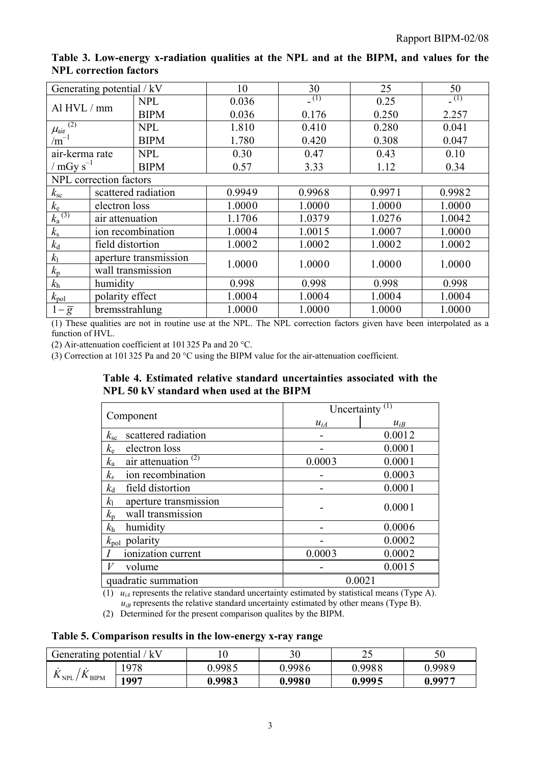| Generating potential / kV                        |                   | 10                    | 30     | 25     | 50     |        |
|--------------------------------------------------|-------------------|-----------------------|--------|--------|--------|--------|
| Al HVL / mm                                      |                   | <b>NPL</b>            | 0.036  | (1)    | 0.25   | (1)    |
|                                                  |                   | <b>BIPM</b>           | 0.036  | 0.176  | 0.250  | 2.257  |
| $\frac{\mu_{\text{air}}^{(2)}}{\text{sin}^{-1}}$ |                   | <b>NPL</b>            | 1.810  | 0.410  | 0.280  | 0.041  |
|                                                  |                   | <b>BIPM</b>           | 1.780  | 0.420  | 0.308  | 0.047  |
| air-kerma rate                                   |                   | <b>NPL</b>            | 0.30   | 0.47   | 0.43   | 0.10   |
| / $mGy s^{-1}$                                   |                   | <b>BIPM</b>           | 0.57   | 3.33   | 1.12   | 0.34   |
| NPL correction factors                           |                   |                       |        |        |        |        |
| $k_{\rm sc}$                                     |                   | scattered radiation   | 0.9949 | 0.9968 | 0.9971 | 0.9982 |
| $k_{\rm e}$                                      | electron loss     |                       | 1.0000 | 1.0000 | 1.0000 | 1.0000 |
| $k_a^{(3)}$                                      | air attenuation   |                       | 1.1706 | 1.0379 | 1.0276 | 1.0042 |
| $k_{\rm s}$                                      |                   | ion recombination     | 1.0004 | 1.0015 | 1.0007 | 1.0000 |
| $k_{\rm d}$                                      | field distortion  |                       | 1.0002 | 1.0002 | 1.0002 | 1.0002 |
| k <sub>1</sub>                                   |                   | aperture transmission | 1.0000 | 1.0000 | 1.0000 | 1.0000 |
| $k_{p}$                                          | wall transmission |                       |        |        |        |        |
| $k_{\rm h}$                                      | humidity          |                       | 0.998  | 0.998  | 0.998  | 0.998  |
| $k_{\text{pol}}$                                 | polarity effect   |                       | 1.0004 | 1.0004 | 1.0004 | 1.0004 |
| $1-\overline{g}$                                 | bremsstrahlung    |                       | 1.0000 | 1.0000 | 1.0000 | 1.0000 |

**Table 3. Low-energy x-radiation qualities at the NPL and at the BIPM, and values for the NPL correction factors**

(1) These qualities are not in routine use at the NPL. The NPL correction factors given have been interpolated as a function of HVL.

(2) Air-attenuation coefficient at 101 325 Pa and 20 °C.

(3) Correction at 101 325 Pa and 20 °C using the BIPM value for the air-attenuation coefficient.

**Table 4. Estimated relative standard uncertainties associated with the NPL 50 kV standard when used at the BIPM**

| Component                            | Uncertainty <sup><math>(1)</math></sup> |          |  |  |
|--------------------------------------|-----------------------------------------|----------|--|--|
|                                      | $u_{iA}$                                | $u_{iB}$ |  |  |
| scattered radiation<br>$k_{\rm sc}$  |                                         | 0.0012   |  |  |
| electron loss<br>$k_{\rm e}$         |                                         | 0.0001   |  |  |
| air attenuation $(2)$<br>$k_{\rm a}$ | 0.0003                                  | 0.0001   |  |  |
| ion recombination<br>$k_{\rm s}$     |                                         | 0.0003   |  |  |
| field distortion<br>$k_{\rm d}$      |                                         | 0.0001   |  |  |
| aperture transmission<br>$k_{\rm l}$ |                                         | 0.0001   |  |  |
| wall transmission<br>$k_{p}$         |                                         |          |  |  |
| $k_{\rm h}$<br>humidity              |                                         | 0.0006   |  |  |
| $k_{pol}$ polarity                   |                                         | 0.0002   |  |  |
| ionization current                   | 0.0003                                  | 0.0002   |  |  |
| volume                               |                                         | 0.0015   |  |  |
| quadratic summation                  | 0.0021                                  |          |  |  |

 $(1)$  *u<sub>iA</sub>* represents the relative standard uncertainty estimated by statistical means (Type A).  $u_{iB}$  represents the relative standard uncertainty estimated by other means (Type B).

(2) Determined for the present comparison qualites by the BIPM.

#### **Table 5. Comparison results in the low-energy x-ray range**

| Generating potential / kV                                  |      |        |        | ر ب    | $\epsilon$ $\alpha$<br>υU |
|------------------------------------------------------------|------|--------|--------|--------|---------------------------|
| $\boldsymbol{V}$<br>$\mathbf{A}$ NPL.<br>$\mathbf{A}$ BIPM | .978 | 0.9985 | 0.9986 | 0.9988 | 0.9989                    |
|                                                            | 1997 | 0.9983 | 0.9980 | 0.9995 | 0.9977                    |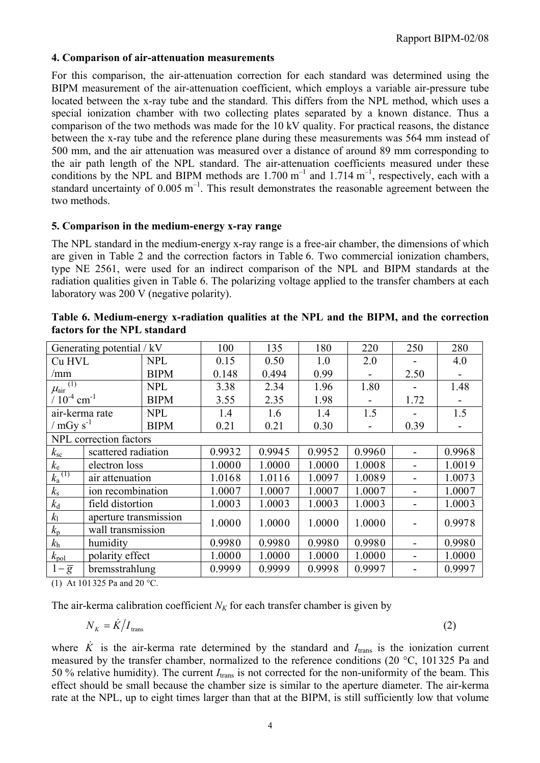#### **4. Comparison of air-attenuation measurements**

For this comparison, the air-attenuation correction for each standard was determined using the BIPM measurement of the air-attenuation coefficient, which employs a variable air-pressure tube located between the x-ray tube and the standard. This differs from the NPL method, which uses a special ionization chamber with two collecting plates separated by a known distance. Thus a comparison of the two methods was made for the 10 kV quality. For practical reasons, the distance between the x-ray tube and the reference plane during these measurements was 564 mm instead of 500 mm, and the air attenuation was measured over a distance of around 89 mm corresponding to the air path length of the NPL standard. The air-attenuation coefficients measured under these conditions by the NPL and BIPM methods are  $1.700 \text{ m}^{-1}$  and  $1.714 \text{ m}^{-1}$ , respectively, each with a standard uncertainty of  $0.005 \text{ m}^{-1}$ . This result demonstrates the reasonable agreement between the two methods.

#### **5. Comparison in the medium-energy x-ray range**

The NPL standard in the medium-energy x-ray range is a free-air chamber, the dimensions of which are given in Table 2 and the correction factors in Table 6. Two commercial ionization chambers, type NE 2561, were used for an indirect comparison of the NPL and BIPM standards at the radiation qualities given in Table 6. The polarizing voltage applied to the transfer chambers at each laboratory was 200 V (negative polarity).

|                              | Generating potential / kV |             | 100    | 135    | 180    | 220    | 250  | 280    |
|------------------------------|---------------------------|-------------|--------|--------|--------|--------|------|--------|
| Cu HVL                       | <b>NPL</b>                |             | 0.15   | 0.50   | 1.0    | 2.0    |      | 4.0    |
| /mm                          |                           | <b>BIPM</b> | 0.148  | 0.494  | 0.99   |        | 2.50 |        |
| $\mu_{\text{air}}^{(1)}$     |                           | <b>NPL</b>  | 3.38   | 2.34   | 1.96   | 1.80   |      | 1.48   |
| $/ 10^{-4}$ cm <sup>-1</sup> |                           | <b>BIPM</b> | 3.55   | 2.35   | 1.98   |        | 1.72 |        |
| air-kerma rate               |                           | <b>NPL</b>  | 1.4    | 1.6    | 1.4    | 1.5    |      | 1.5    |
| / $mGv s^{-1}$               |                           | <b>BIPM</b> | 0.21   | 0.21   | 0.30   |        | 0.39 |        |
|                              | NPL correction factors    |             |        |        |        |        |      |        |
| $k_{\rm sc}$                 | scattered radiation       |             | 0.9932 | 0.9945 | 0.9952 | 0.9960 |      | 0.9968 |
| $k_{\rm e}$                  | electron loss             |             | 1.0000 | 1.0000 | 1.0000 | 1.0008 |      | 1.0019 |
| $k_a^{(1)}$                  | air attenuation           |             | 1.0168 | 1.0116 | 1.0097 | 1.0089 |      | 1.0073 |
| $k_{\rm s}$                  | ion recombination         |             | 1.0007 | 1.0007 | 1.0007 | 1.0007 |      | 1.0007 |
| $k_{\rm d}$                  | field distortion          |             | 1.0003 | 1.0003 | 1.0003 | 1.0003 |      | 1.0003 |
| k <sub>1</sub>               | aperture transmission     |             | 1.0000 | 1.0000 | 1.0000 | 1.0000 |      | 0.9978 |
| $k_{p}$                      | wall transmission         |             |        |        |        |        |      |        |
| $k_{\rm h}$                  | humidity                  |             | 0.9980 | 0.9980 | 0.9980 | 0.9980 |      | 0.9980 |
| $k_{\text{pol}}$             | polarity effect           |             | 1.0000 | 1.0000 | 1.0000 | 1.0000 |      | 1.0000 |
| $1-\overline{g}$             | bremsstrahlung            |             | 0.9999 | 0.9999 | 0.9998 | 0.9997 |      | 0.9997 |
|                              |                           |             |        |        |        |        |      |        |

| Table 6. Medium-energy x-radiation qualities at the NPL and the BIPM, and the correction |  |  |  |  |
|------------------------------------------------------------------------------------------|--|--|--|--|
| factors for the NPL standard                                                             |  |  |  |  |

(1) At 101 325 Pa and 20 °C.

The air-kerma calibration coefficient  $N_K$  for each transfer chamber is given by

$$
N_K = \dot{K}/I_{\text{trans}} \tag{2}
$$

where *K* is the air-kerma rate determined by the standard and  $I_{trans}$  is the ionization current measured by the transfer chamber, normalized to the reference conditions (20 °C, 101325 Pa and 50 % relative humidity). The current *I*trans is not corrected for the non-uniformity of the beam. This effect should be small because the chamber size is similar to the aperture diameter. The air-kerma rate at the NPL, up to eight times larger than that at the BIPM, is still sufficiently low that volume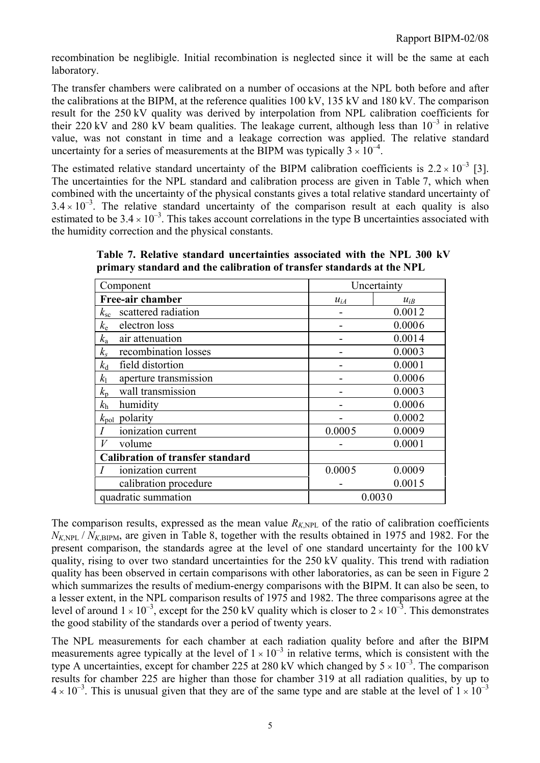recombination be neglibigle. Initial recombination is neglected since it will be the same at each laboratory.

The transfer chambers were calibrated on a number of occasions at the NPL both before and after the calibrations at the BIPM, at the reference qualities 100 kV, 135 kV and 180 kV. The comparison result for the 250 kV quality was derived by interpolation from NPL calibration coefficients for their 220 kV and 280 kV beam qualities. The leakage current, although less than  $10^{-3}$  in relative value, was not constant in time and a leakage correction was applied. The relative standard uncertainty for a series of measurements at the BIPM was typically  $3 \times 10^{-4}$ .

The estimated relative standard uncertainty of the BIPM calibration coefficients is  $2.2 \times 10^{-3}$  [3]. The uncertainties for the NPL standard and calibration process are given in Table 7, which when combined with the uncertainty of the physical constants gives a total relative standard uncertainty of  $3.4 \times 10^{-3}$ . The relative standard uncertainty of the comparison result at each quality is also estimated to be  $3.4 \times 10^{-3}$ . This takes account correlations in the type B uncertainties associated with the humidity correction and the physical constants.

**Table 7. Relative standard uncertainties associated with the NPL 300 kV primary standard and the calibration of transfer standards at the NPL**

| Component                               | Uncertainty |          |  |
|-----------------------------------------|-------------|----------|--|
| Free-air chamber                        | $u_{iA}$    | $u_{iB}$ |  |
| scattered radiation<br>$k_{\rm sc}$     |             | 0.0012   |  |
| $k_{\rm e}$<br>electron loss            |             | 0.0006   |  |
| $k_{\rm a}$<br>air attenuation          |             | 0.0014   |  |
| recombination losses<br>$k_{\rm s}$     |             | 0.0003   |  |
| $k_{\rm d}$<br>field distortion         |             | 0.0001   |  |
| $k_1$<br>aperture transmission          |             | 0.0006   |  |
| wall transmission<br>$k_{p}$            |             | 0.0003   |  |
| humidity<br>$k_{\rm h}$                 |             | 0.0006   |  |
| $k_{\text{pol}}$ polarity               |             | 0.0002   |  |
| ionization current                      | 0.0005      | 0.0009   |  |
| V<br>volume                             |             | 0.0001   |  |
| <b>Calibration of transfer standard</b> |             |          |  |
| ionization current                      | 0.0005      | 0.0009   |  |
| calibration procedure                   |             | 0.0015   |  |
| quadratic summation                     |             | 0.0030   |  |

The comparison results, expressed as the mean value  $R_{K,NPL}$  of the ratio of calibration coefficients  $N_{KNPL}$  /  $N_{KRPM}$ , are given in Table 8, together with the results obtained in 1975 and 1982. For the present comparison, the standards agree at the level of one standard uncertainty for the 100 kV quality, rising to over two standard uncertainties for the 250 kV quality. This trend with radiation quality has been observed in certain comparisons with other laboratories, as can be seen in Figure 2 which summarizes the results of medium-energy comparisons with the BIPM. It can also be seen, to a lesser extent, in the NPL comparison results of 1975 and 1982. The three comparisons agree at the level of around  $1 \times 10^{-3}$ , except for the 250 kV quality which is closer to  $2 \times 10^{-3}$ . This demonstrates the good stability of the standards over a period of twenty years.

The NPL measurements for each chamber at each radiation quality before and after the BIPM measurements agree typically at the level of  $1 \times 10^{-3}$  in relative terms, which is consistent with the type A uncertainties, except for chamber 225 at 280 kV which changed by  $5 \times 10^{-3}$ . The comparison results for chamber 225 are higher than those for chamber 319 at all radiation qualities, by up to  $4 \times 10^{-3}$ . This is unusual given that they are of the same type and are stable at the level of  $1 \times 10^{-3}$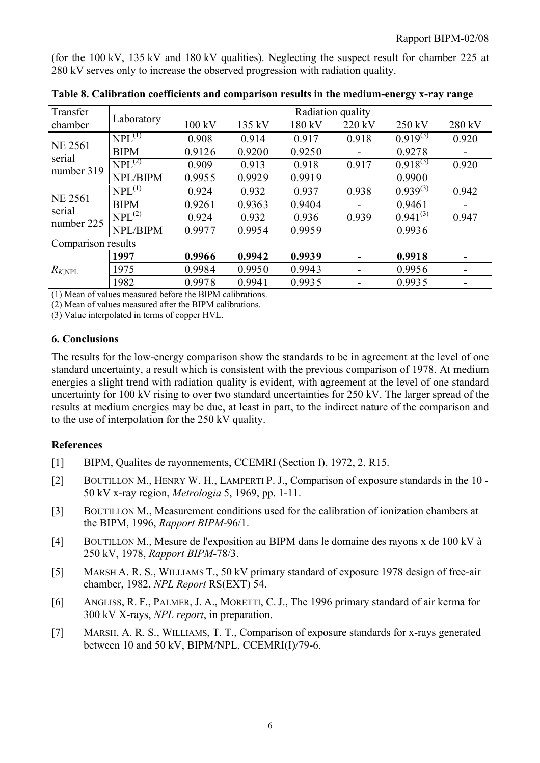(for the 100 kV, 135 kV and 180 kV qualities). Neglecting the suspect result for chamber 225 at 280 kV serves only to increase the observed progression with radiation quality.

| Transfer                 |             | Radiation quality |        |        |        |               |        |  |
|--------------------------|-------------|-------------------|--------|--------|--------|---------------|--------|--|
| chamber                  | Laboratory  | 100 kV            | 135 kV | 180 kV | 220 kV | 250 kV        | 280 kV |  |
|                          | $NPL^{(1)}$ | 0.908             | 0.914  | 0.917  | 0.918  | $0.919^{(3)}$ | 0.920  |  |
| <b>NE 2561</b><br>serial | <b>BIPM</b> | 0.9126            | 0.9200 | 0.9250 | -      | 0.9278        |        |  |
|                          | $NPL^{(2)}$ | 0.909             | 0.913  | 0.918  | 0.917  | $0.918^{(3)}$ | 0.920  |  |
| number 319               | NPL/BIPM    | 0.9955            | 0.9929 | 0.9919 |        | 0.9900        |        |  |
|                          | $NPL^{(1)}$ | 0.924             | 0.932  | 0.937  | 0.938  | $0.939^{(3)}$ | 0.942  |  |
| <b>NE 2561</b>           | <b>BIPM</b> | 0.9261            | 0.9363 | 0.9404 | -      | 0.9461        |        |  |
| serial<br>number 225     | $NPL^{(2)}$ | 0.924             | 0.932  | 0.936  | 0.939  | $0.941^{(3)}$ | 0.947  |  |
|                          | NPL/BIPM    | 0.9977            | 0.9954 | 0.9959 |        | 0.9936        |        |  |
| Comparison results       |             |                   |        |        |        |               |        |  |
| $R_{K,\mathrm{NPL}}$     | 1997        | 0.9966            | 0.9942 | 0.9939 |        | 0.9918        |        |  |
|                          | 1975        | 0.9984            | 0.9950 | 0.9943 |        | 0.9956        |        |  |
|                          | 1982        | 0.9978            | 0.9941 | 0.9935 |        | 0.9935        |        |  |

**Table 8. Calibration coefficients and comparison results in the medium-energy x-ray range**

(1) Mean of values measured before the BIPM calibrations.

(2) Mean of values measured after the BIPM calibrations.

(3) Value interpolated in terms of copper HVL.

#### **6. Conclusions**

The results for the low-energy comparison show the standards to be in agreement at the level of one standard uncertainty, a result which is consistent with the previous comparison of 1978. At medium energies a slight trend with radiation quality is evident, with agreement at the level of one standard uncertainty for 100 kV rising to over two standard uncertainties for 250 kV. The larger spread of the results at medium energies may be due, at least in part, to the indirect nature of the comparison and to the use of interpolation for the 250 kV quality.

### **References**

- [1] BIPM, Qualites de rayonnements, CCEMRI (Section I), 1972, 2, R15.
- [2] BOUTILLON M., HENRY W. H., LAMPERTI P. J., Comparison of exposure standards in the 10 50 kV x-ray region, *Metrologia* 5, 1969, pp. 1-11.
- [3] BOUTILLON M., Measurement conditions used for the calibration of ionization chambers at the BIPM, 1996, *Rapport BIPM*-96/1.
- [4] BOUTILLON M., Mesure de l'exposition au BIPM dans le domaine des rayons x de 100 kV à 250 kV, 1978, *Rapport BIPM*-78/3.
- [5] MARSH A. R. S., WILLIAMS T., 50 kV primary standard of exposure 1978 design of free-air chamber, 1982, *NPL Report* RS(EXT) 54.
- [6] ANGLISS, R. F., PALMER, J. A., MORETTI, C. J., The 1996 primary standard of air kerma for 300 kV X-rays, *NPL report*, in preparation.
- [7] MARSH, A. R. S., WILLIAMS, T. T., Comparison of exposure standards for x-rays generated between 10 and 50 kV, BIPM/NPL, CCEMRI(I)/79-6.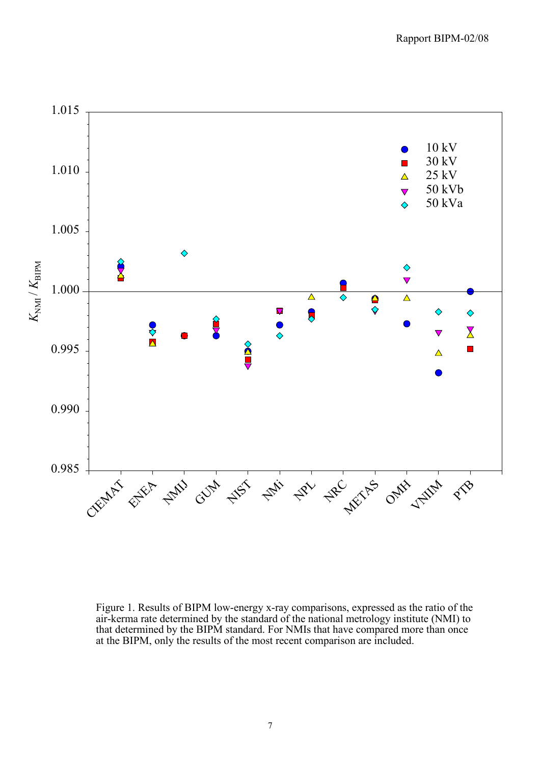

Figure 1. Results of BIPM low-energy x-ray comparisons, expressed as the ratio of the air-kerma rate determined by the standard of the national metrology institute (NMI) to that determined by the BIPM standard. For NMIs that have compared more than once at the BIPM, only the results of the most recent comparison are included.